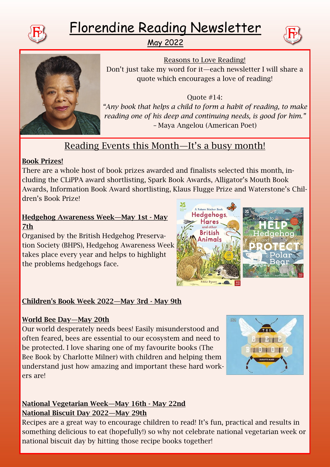

# Florendine Reading Newsletter

May 2022





Reasons to Love Reading! Don't just take my word for it—each newsletter I will share a quote which encourages a love of reading!

Quote #14: *"Any book that helps a child to form a habit of reading, to make reading one of his deep and continuing needs, is good for him." –* Maya Angelou (American Poet)

# Reading Events this Month—It's a busy month!

#### Book Prizes!

There are a whole host of book prizes awarded and finalists selected this month, including the CLiPPA award shortlisting, Spark Book Awards, Alligator's Mouth Book Awards, Information Book Award shortlisting, Klaus Flugge Prize and Waterstone's Children's Book Prize!

#### Hedgehog Awareness Week—May 1st - May 7th

Organised by the British Hedgehog Preservation Society (BHPS), Hedgehog Awareness Week takes place every year and helps to highlight the problems hedgehogs face.



# Children's Book Week 2022—May 3rd - May 9th

### World Bee Day—May 20th

Our world desperately needs bees! Easily misunderstood and often feared, bees are essential to our ecosystem and need to be protected. I love sharing one of my favourite books (The Bee Book by Charlotte Milner) with children and helping them understand just how amazing and important these hard workers are!



### National Vegetarian Week—May 16th - May 22nd National Biscuit Day 2022—May 29th

Recipes are a great way to encourage children to read! It's fun, practical and results in something delicious to eat (hopefully!) so why not celebrate national vegetarian week or national biscuit day by hitting those recipe books together!